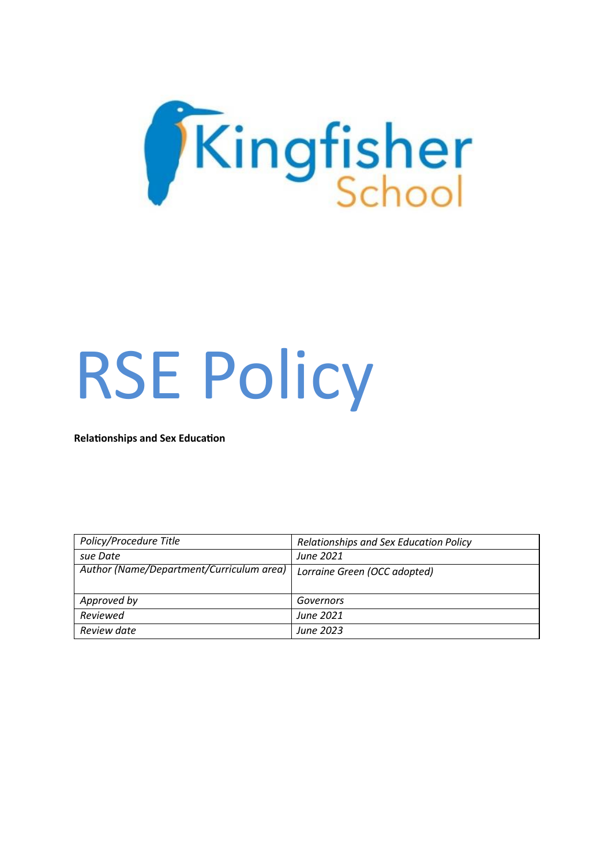

# RSE Policy

**Relationships and Sex Education**

| Policy/Procedure Title                   | Relationships and Sex Education Policy |
|------------------------------------------|----------------------------------------|
| sue Date                                 | June 2021                              |
| Author (Name/Department/Curriculum area) | Lorraine Green (OCC adopted)           |
|                                          |                                        |
| Approved by                              | Governors                              |
| Reviewed                                 | June 2021                              |
| Review date                              | June 2023                              |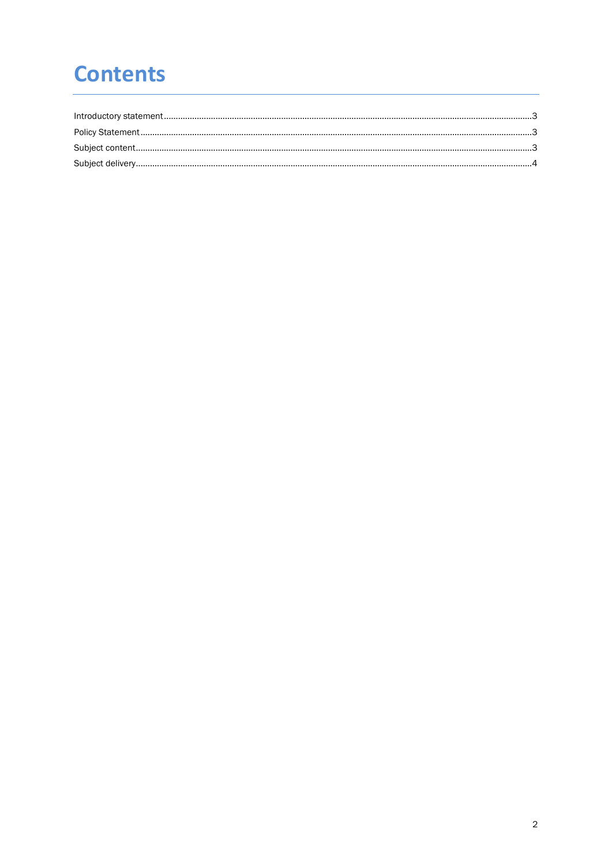## **Contents**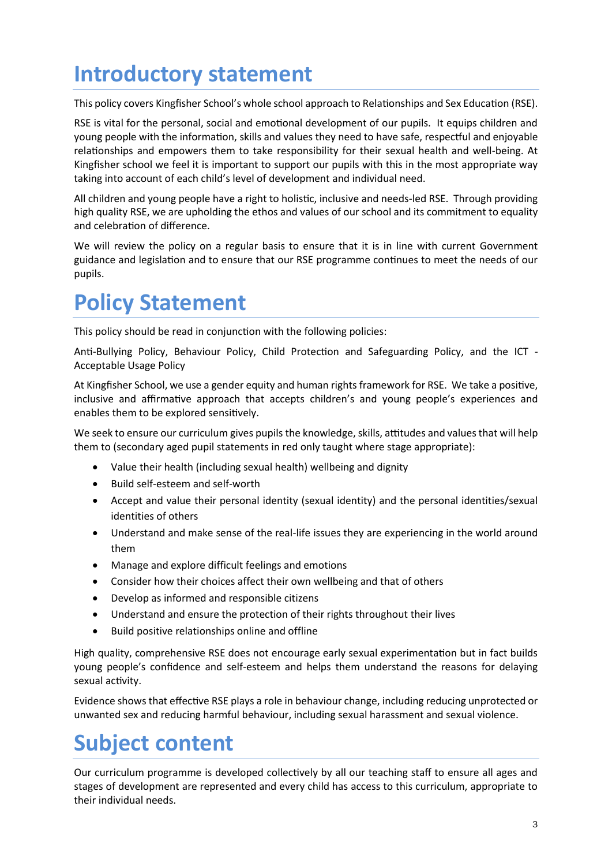## <span id="page-2-0"></span>**Introductory statement**

This policy covers Kingfisher School's whole school approach to Relationships and Sex Education (RSE).

RSE is vital for the personal, social and emotional development of our pupils. It equips children and young people with the information, skills and values they need to have safe, respectful and enjoyable relationships and empowers them to take responsibility for their sexual health and well-being. At Kingfisher school we feel it is important to support our pupils with this in the most appropriate way taking into account of each child's level of development and individual need.

All children and young people have a right to holistic, inclusive and needs-led RSE. Through providing high quality RSE, we are upholding the ethos and values of our school and its commitment to equality and celebration of difference.

We will review the policy on a regular basis to ensure that it is in line with current Government guidance and legislation and to ensure that our RSE programme continues to meet the needs of our pupils.

## <span id="page-2-1"></span>**Policy Statement**

This policy should be read in conjunction with the following policies:

Anti-Bullying Policy, Behaviour Policy, Child Protection and Safeguarding Policy, and the ICT - Acceptable Usage Policy

At Kingfisher School, we use a gender equity and human rights framework for RSE. We take a positive, inclusive and affirmative approach that accepts children's and young people's experiences and enables them to be explored sensitively.

We seek to ensure our curriculum gives pupils the knowledge, skills, attitudes and values that will help them to (secondary aged pupil statements in red only taught where stage appropriate):

- Value their health (including sexual health) wellbeing and dignity
- Build self-esteem and self-worth
- Accept and value their personal identity (sexual identity) and the personal identities/sexual identities of others
- Understand and make sense of the real-life issues they are experiencing in the world around them
- Manage and explore difficult feelings and emotions
- Consider how their choices affect their own wellbeing and that of others
- Develop as informed and responsible citizens
- Understand and ensure the protection of their rights throughout their lives
- Build positive relationships online and offline

High quality, comprehensive RSE does not encourage early sexual experimentation but in fact builds young people's confidence and self-esteem and helps them understand the reasons for delaying sexual activity.

Evidence shows that effective RSE plays a role in behaviour change, including reducing unprotected or unwanted sex and reducing harmful behaviour, including sexual harassment and sexual violence.

### <span id="page-2-2"></span>**Subject content**

Our curriculum programme is developed collectively by all our teaching staff to ensure all ages and stages of development are represented and every child has access to this curriculum, appropriate to their individual needs.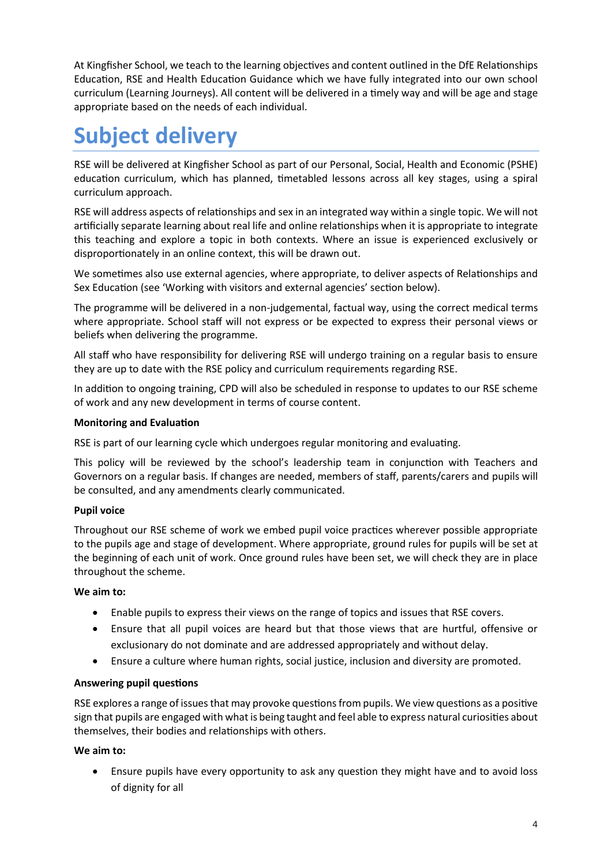At Kingfisher School, we teach to the learning objectives and content outlined in the DfE Relationships Education, RSE and Health Education Guidance which we have fully integrated into our own school curriculum (Learning Journeys). All content will be delivered in a timely way and will be age and stage appropriate based on the needs of each individual.

## <span id="page-3-0"></span>**Subject delivery**

RSE will be delivered at Kingfisher School as part of our Personal, Social, Health and Economic (PSHE) education curriculum, which has planned, timetabled lessons across all key stages, using a spiral curriculum approach.

RSE will address aspects of relationships and sex in an integrated way within a single topic. We will not artificially separate learning about real life and online relationships when it is appropriate to integrate this teaching and explore a topic in both contexts. Where an issue is experienced exclusively or disproportionately in an online context, this will be drawn out.

We sometimes also use external agencies, where appropriate, to deliver aspects of Relationships and Sex Education (see 'Working with visitors and external agencies' section below).

The programme will be delivered in a non-judgemental, factual way, using the correct medical terms where appropriate. School staff will not express or be expected to express their personal views or beliefs when delivering the programme.

All staff who have responsibility for delivering RSE will undergo training on a regular basis to ensure they are up to date with the RSE policy and curriculum requirements regarding RSE.

In addition to ongoing training, CPD will also be scheduled in response to updates to our RSE scheme of work and any new development in terms of course content.

#### **Monitoring and Evaluation**

RSE is part of our learning cycle which undergoes regular monitoring and evaluating.

This policy will be reviewed by the school's leadership team in conjunction with Teachers and Governors on a regular basis. If changes are needed, members of staff, parents/carers and pupils will be consulted, and any amendments clearly communicated.

#### **Pupil voice**

Throughout our RSE scheme of work we embed pupil voice practices wherever possible appropriate to the pupils age and stage of development. Where appropriate, ground rules for pupils will be set at the beginning of each unit of work. Once ground rules have been set, we will check they are in place throughout the scheme.

#### **We aim to:**

- Enable pupils to express their views on the range of topics and issues that RSE covers.
- Ensure that all pupil voices are heard but that those views that are hurtful, offensive or exclusionary do not dominate and are addressed appropriately and without delay.
- Ensure a culture where human rights, social justice, inclusion and diversity are promoted.

#### **Answering pupil questions**

RSE explores a range of issues that may provoke questions from pupils. We view questions as a positive sign that pupils are engaged with what is being taught and feel able to express natural curiosities about themselves, their bodies and relationships with others.

#### **We aim to:**

• Ensure pupils have every opportunity to ask any question they might have and to avoid loss of dignity for all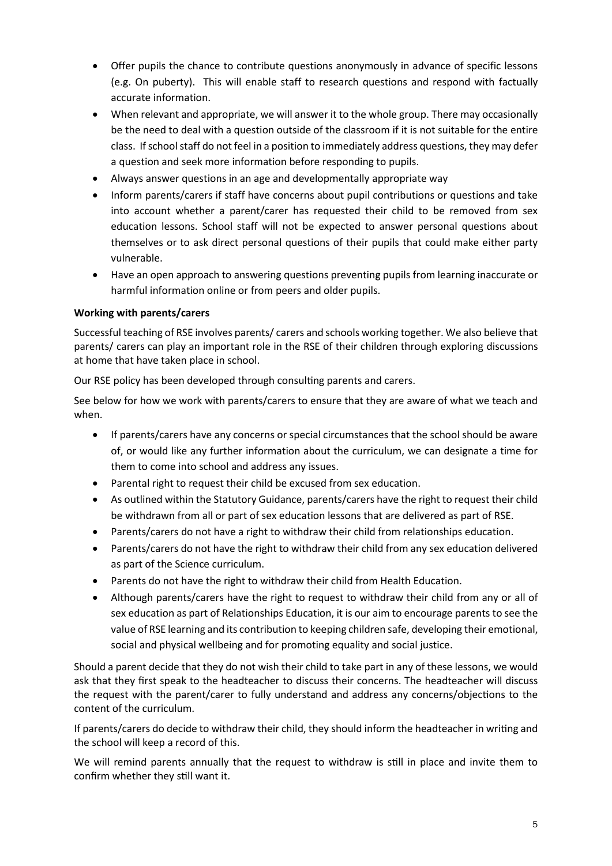- Offer pupils the chance to contribute questions anonymously in advance of specific lessons (e.g. On puberty). This will enable staff to research questions and respond with factually accurate information.
- When relevant and appropriate, we will answer it to the whole group. There may occasionally be the need to deal with a question outside of the classroom if it is not suitable for the entire class. If school staff do not feel in a position to immediately address questions, they may defer a question and seek more information before responding to pupils.
- Always answer questions in an age and developmentally appropriate way
- Inform parents/carers if staff have concerns about pupil contributions or questions and take into account whether a parent/carer has requested their child to be removed from sex education lessons. School staff will not be expected to answer personal questions about themselves or to ask direct personal questions of their pupils that could make either party vulnerable.
- Have an open approach to answering questions preventing pupils from learning inaccurate or harmful information online or from peers and older pupils.

#### **Working with parents/carers**

Successful teaching of RSE involves parents/ carers and schools working together. We also believe that parents/ carers can play an important role in the RSE of their children through exploring discussions at home that have taken place in school.

Our RSE policy has been developed through consulting parents and carers.

See below for how we work with parents/carers to ensure that they are aware of what we teach and when.

- If parents/carers have any concerns or special circumstances that the school should be aware of, or would like any further information about the curriculum, we can designate a time for them to come into school and address any issues.
- Parental right to request their child be excused from sex education.
- As outlined within the Statutory Guidance, parents/carers have the right to request their child be withdrawn from all or part of sex education lessons that are delivered as part of RSE.
- Parents/carers do not have a right to withdraw their child from relationships education.
- Parents/carers do not have the right to withdraw their child from any sex education delivered as part of the Science curriculum.
- Parents do not have the right to withdraw their child from Health Education.
- Although parents/carers have the right to request to withdraw their child from any or all of sex education as part of Relationships Education, it is our aim to encourage parents to see the value of RSE learning and its contribution to keeping children safe, developing their emotional, social and physical wellbeing and for promoting equality and social justice.

Should a parent decide that they do not wish their child to take part in any of these lessons, we would ask that they first speak to the headteacher to discuss their concerns. The headteacher will discuss the request with the parent/carer to fully understand and address any concerns/objections to the content of the curriculum.

If parents/carers do decide to withdraw their child, they should inform the headteacher in writing and the school will keep a record of this.

We will remind parents annually that the request to withdraw is still in place and invite them to confirm whether they still want it.